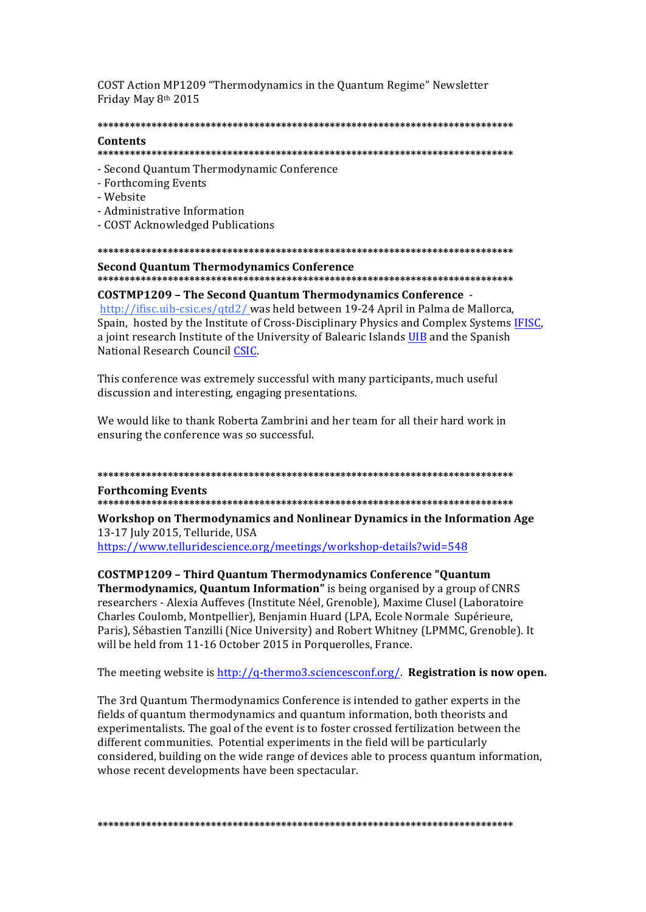COST Action MP1209 "Thermodynamics in the Quantum Regime" Newsletter Friday May 8th 2015

## 

### Contents

- 
- Second Quantum Thermodynamic Conference
- Forthcoming Events
- Website
- Administrative Information
- COST Acknowledged Publications

# **Second Ouantum Thermodynamics Conference**

## **COSTMP1209 - The Second Quantum Thermodynamics Conference -**

http://ifisc.uib-csic.es/qtd2/ was held between 19-24 April in Palma de Mallorca, Spain, hosted by the Institute of Cross-Disciplinary Physics and Complex Systems IFISC. a joint research Institute of the University of Balearic Islands UIB and the Spanish National Research Council CSIC.

This conference was extremely successful with many participants, much useful discussion and interesting, engaging presentations.

We would like to thank Roberta Zambrini and her team for all their hard work in ensuring the conference was so successful.

# **Forthcoming Events**

Workshop on Thermodynamics and Nonlinear Dynamics in the Information Age 13-17 July 2015, Telluride, USA

https://www.telluridescience.org/meetings/workshop-details?wid=548

**COSTMP1209 - Third Quantum Thermodynamics Conference "Quantum** Thermodynamics, Quantum Information" is being organised by a group of CNRS researchers - Alexia Auffeves (Institute Néel, Grenoble), Maxime Clusel (Laboratoire Charles Coulomb, Montpellier), Benjamin Huard (LPA, Ecole Normale Supérieure, Paris), Sébastien Tanzilli (Nice University) and Robert Whitney (LPMMC, Grenoble). It will be held from 11-16 October 2015 in Porquerolles, France.

The meeting website is http://q-thermo3.sciencesconf.org/. Registration is now open.

The 3rd Quantum Thermodynamics Conference is intended to gather experts in the fields of quantum thermodynamics and quantum information, both theorists and experimentalists. The goal of the event is to foster crossed fertilization between the different communities. Potential experiments in the field will be particularly considered, building on the wide range of devices able to process quantum information. whose recent developments have been spectacular.